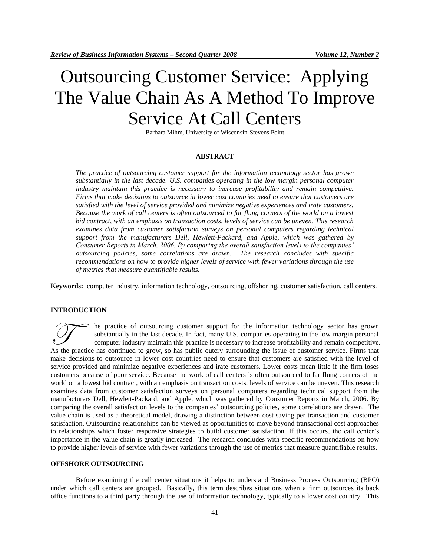# Outsourcing Customer Service: Applying The Value Chain As A Method To Improve Service At Call Centers

Barbara Mihm, University of Wisconsin-Stevens Point

#### **ABSTRACT**

*The practice of outsourcing customer support for the information technology sector has grown substantially in the last decade. U.S. companies operating in the low margin personal computer industry maintain this practice is necessary to increase profitability and remain competitive. Firms that make decisions to outsource in lower cost countries need to ensure that customers are satisfied with the level of service provided and minimize negative experiences and irate customers. Because the work of call centers is often outsourced to far flung corners of the world on a lowest bid contract, with an emphasis on transaction costs, levels of service can be uneven. This research examines data from customer satisfaction surveys on personal computers regarding technical support from the manufacturers Dell, Hewlett-Packard, and Apple, which was gathered by Consumer Reports in March, 2006. By comparing the overall satisfaction levels to the companies' outsourcing policies, some correlations are drawn. The research concludes with specific recommendations on how to provide higher levels of service with fewer variations through the use of metrics that measure quantifiable results.*

**Keywords:** computer industry, information technology, outsourcing, offshoring, customer satisfaction, call centers.

#### **INTRODUCTION**

he practice of outsourcing customer support for the information technology sector has grown substantially in the last decade. In fact, many U.S. companies operating in the low margin personal computer industry maintain this practice is necessary to increase profitability and remain competitive. The practice of outsourcing customer support for the information technology sector has grown substantially in the last decade. In fact, many U.S. companies operating in the low margin personal computer industry maintain th make decisions to outsource in lower cost countries need to ensure that customers are satisfied with the level of service provided and minimize negative experiences and irate customers. Lower costs mean little if the firm loses customers because of poor service. Because the work of call centers is often outsourced to far flung corners of the world on a lowest bid contract, with an emphasis on transaction costs, levels of service can be uneven. This research examines data from customer satisfaction surveys on personal computers regarding technical support from the manufacturers Dell, Hewlett-Packard, and Apple, which was gathered by Consumer Reports in March, 2006. By comparing the overall satisfaction levels to the companies" outsourcing policies, some correlations are drawn. The value chain is used as a theoretical model, drawing a distinction between cost saving per transaction and customer satisfaction. Outsourcing relationships can be viewed as opportunities to move beyond transactional cost approaches to relationships which foster responsive strategies to build customer satisfaction. If this occurs, the call center"s importance in the value chain is greatly increased. The research concludes with specific recommendations on how to provide higher levels of service with fewer variations through the use of metrics that measure quantifiable results.

#### **OFFSHORE OUTSOURCING**

Before examining the call center situations it helps to understand Business Process Outsourcing (BPO) under which call centers are grouped. Basically, this term describes situations when a firm outsources its back office functions to a third party through the use of information technology, typically to a lower cost country. This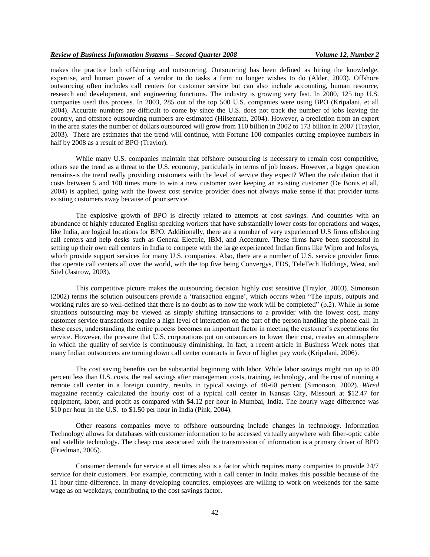makes the practice both offshoring and outsourcing. Outsourcing has been defined as hiring the knowledge, expertise, and human power of a vendor to do tasks a firm no longer wishes to do (Alder, 2003). Offshore outsourcing often includes call centers for customer service but can also include accounting, human resource, research and development, and engineering functions. The industry is growing very fast. In 2000, 125 top U.S. companies used this process. In 2003, 285 out of the top 500 U.S. companies were using BPO (Kripalani, et all 2004). Accurate numbers are difficult to come by since the U.S. does not track the number of jobs leaving the country, and offshore outsourcing numbers are estimated (Hilsenrath, 2004). However, a prediction from an expert in the area states the number of dollars outsourced will grow from 110 billion in 2002 to 173 billion in 2007 (Traylor, 2003). There are estimates that the trend will continue, with Fortune 100 companies cutting employee numbers in half by 2008 as a result of BPO (Traylor).

While many U.S. companies maintain that offshore outsourcing is necessary to remain cost competitive, others see the trend as a threat to the U.S. economy, particularly in terms of job losses. However, a bigger question remains-is the trend really providing customers with the level of service they expect? When the calculation that it costs between 5 and 100 times more to win a new customer over keeping an existing customer (De Bonis et all, 2004) is applied, going with the lowest cost service provider does not always make sense if that provider turns existing customers away because of poor service.

The explosive growth of BPO is directly related to attempts at cost savings. And countries with an abundance of highly educated English speaking workers that have substantially lower costs for operations and wages, like India, are logical locations for BPO. Additionally, there are a number of very experienced U.S firms offshoring call centers and help desks such as General Electric, IBM, and Accenture. These firms have been successful in setting up their own call centers in India to compete with the large experienced Indian firms like Wipro and Infosys, which provide support services for many U.S. companies. Also, there are a number of U.S. service provider firms that operate call centers all over the world, with the top five being Convergys, EDS, TeleTech Holdings, West, and Sitel (Jastrow, 2003).

This competitive picture makes the outsourcing decision highly cost sensitive (Traylor, 2003). Simonson (2002) terms the solution outsourcers provide a "transaction engine", which occurs when "The inputs, outputs and working rules are so well-defined that there is no doubt as to how the work will be completed" (p.2). While in some situations outsourcing may be viewed as simply shifting transactions to a provider with the lowest cost, many customer service transactions require a high level of interaction on the part of the person handling the phone call. In these cases, understanding the entire process becomes an important factor in meeting the customer"s expectations for service. However, the pressure that U.S. corporations put on outsourcers to lower their cost, creates an atmosphere in which the quality of service is continuously diminishing. In fact, a recent article in Business Week notes that many Indian outsourcers are turning down call center contracts in favor of higher pay work (Kripalani, 2006).

The cost saving benefits can be substantial beginning with labor. While labor savings might run up to 80 percent less than U.S. costs, the real savings after management costs, training, technology, and the cost of running a remote call center in a foreign country, results in typical savings of 40-60 percent (Simonson, 2002). *Wired*  magazine recently calculated the hourly cost of a typical call center in Kansas City, Missouri at \$12.47 for equipment, labor, and profit as compared with \$4.12 per hour in Mumbai, India. The hourly wage difference was \$10 per hour in the U.S. to \$1.50 per hour in India (Pink, 2004).

Other reasons companies move to offshore outsourcing include changes in technology. Information Technology allows for databases with customer information to be accessed virtually anywhere with fiber-optic cable and satellite technology. The cheap cost associated with the transmission of information is a primary driver of BPO (Friedman, 2005).

Consumer demands for service at all times also is a factor which requires many companies to provide 24/7 service for their customers. For example, contracting with a call center in India makes this possible because of the 11 hour time difference. In many developing countries, employees are willing to work on weekends for the same wage as on weekdays, contributing to the cost savings factor.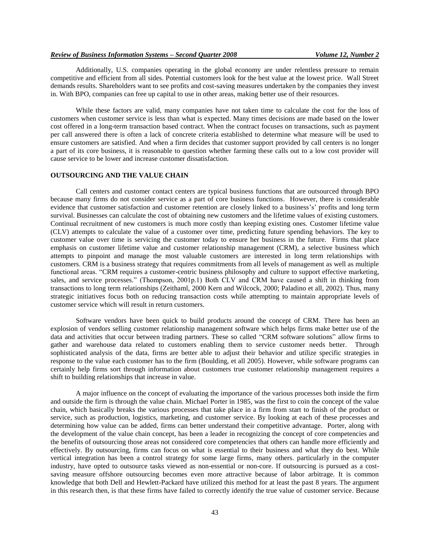Additionally, U.S. companies operating in the global economy are under relentless pressure to remain competitive and efficient from all sides. Potential customers look for the best value at the lowest price. Wall Street demands results. Shareholders want to see profits and cost-saving measures undertaken by the companies they invest in. With BPO, companies can free up capital to use in other areas, making better use of their resources.

While these factors are valid, many companies have not taken time to calculate the cost for the loss of customers when customer service is less than what is expected. Many times decisions are made based on the lower cost offered in a long-term transaction based contract. When the contract focuses on transactions, such as payment per call answered there is often a lack of concrete criteria established to determine what measure will be used to ensure customers are satisfied. And when a firm decides that customer support provided by call centers is no longer a part of its core business, it is reasonable to question whether farming these calls out to a low cost provider will cause service to be lower and increase customer dissatisfaction.

# **OUTSOURCING AND THE VALUE CHAIN**

Call centers and customer contact centers are typical business functions that are outsourced through BPO because many firms do not consider service as a part of core business functions. However, there is considerable evidence that customer satisfaction and customer retention are closely linked to a business's' profits and long term survival. Businesses can calculate the cost of obtaining new customers and the lifetime values of existing customers. Continual recruitment of new customers is much more costly than keeping existing ones. Customer lifetime value (CLV) attempts to calculate the value of a customer over time, predicting future spending behaviors. The key to customer value over time is servicing the customer today to ensure her business in the future. Firms that place emphasis on customer lifetime value and customer relationship management (CRM), a selective business which attempts to pinpoint and manage the most valuable customers are interested in long term relationships with customers. CRM is a business strategy that requires commitments from all levels of management as well as multiple functional areas. "CRM requires a customer-centric business philosophy and culture to support effective marketing, sales, and service processes." (Thompson, 2001p.1) Both CLV and CRM have caused a shift in thinking from transactions to long term relationships (Zeithaml, 2000 Kern and Wilcock, 2000; Paladino et all, 2002). Thus, many strategic initiatives focus both on reducing transaction costs while attempting to maintain appropriate levels of customer service which will result in return customers.

Software vendors have been quick to build products around the concept of CRM. There has been an explosion of vendors selling customer relationship management software which helps firms make better use of the data and activities that occur between trading partners. These so called "CRM software solutions" allow firms to gather and warehouse data related to customers enabling them to service customer needs better. Through sophisticated analysis of the data, firms are better able to adjust their behavior and utilize specific strategies in response to the value each customer has to the firm (Boulding, et all 2005). However, while software programs can certainly help firms sort through information about customers true customer relationship management requires a shift to building relationships that increase in value.

A major influence on the concept of evaluating the importance of the various processes both inside the firm and outside the firm is through the value chain. Michael Porter in 1985, was the first to coin the concept of the value chain, which basically breaks the various processes that take place in a firm from start to finish of the product or service, such as production, logistics, marketing, and customer service. By looking at each of these processes and determining how value can be added, firms can better understand their competitive advantage. Porter, along with the development of the value chain concept, has been a leader in recognizing the concept of core competencies and the benefits of outsourcing those areas not considered core competencies that others can handle more efficiently and effectively. By outsourcing, firms can focus on what is essential to their business and what they do best. While vertical integration has been a control strategy for some large firms, many others. particularly in the computer industry, have opted to outsource tasks viewed as non-essential or non-core. If outsourcing is pursued as a costsaving measure offshore outsourcing becomes even more attractive because of labor arbitrage. It is common knowledge that both Dell and Hewlett-Packard have utilized this method for at least the past 8 years. The argument in this research then, is that these firms have failed to correctly identify the true value of customer service. Because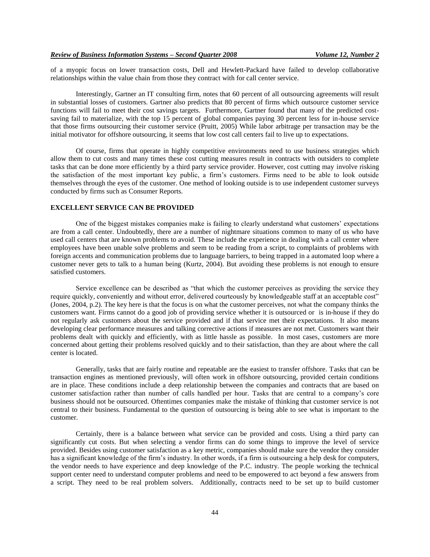of a myopic focus on lower transaction costs, Dell and Hewlett-Packard have failed to develop collaborative relationships within the value chain from those they contract with for call center service.

Interestingly, Gartner an IT consulting firm, notes that 60 percent of all outsourcing agreements will result in substantial losses of customers. Gartner also predicts that 80 percent of firms which outsource customer service functions will fail to meet their cost savings targets. Furthermore, Gartner found that many of the predicted costsaving fail to materialize, with the top 15 percent of global companies paying 30 percent less for in-house service that those firms outsourcing their customer service (Pruitt, 2005) While labor arbitrage per transaction may be the initial motivator for offshore outsourcing, it seems that low cost call centers fail to live up to expectations.

Of course, firms that operate in highly competitive environments need to use business strategies which allow them to cut costs and many times these cost cutting measures result in contracts with outsiders to complete tasks that can be done more efficiently by a third party service provider. However, cost cutting may involve risking the satisfaction of the most important key public, a firm"s customers. Firms need to be able to look outside themselves through the eyes of the customer. One method of looking outside is to use independent customer surveys conducted by firms such as Consumer Reports.

# **EXCELLENT SERVICE CAN BE PROVIDED**

One of the biggest mistakes companies make is failing to clearly understand what customers" expectations are from a call center. Undoubtedly, there are a number of nightmare situations common to many of us who have used call centers that are known problems to avoid. These include the experience in dealing with a call center where employees have been unable solve problems and seem to be reading from a script, to complaints of problems with foreign accents and communication problems due to language barriers, to being trapped in a automated loop where a customer never gets to talk to a human being (Kurtz, 2004). But avoiding these problems is not enough to ensure satisfied customers.

Service excellence can be described as "that which the customer perceives as providing the service they require quickly, conveniently and without error, delivered courteously by knowledgeable staff at an acceptable cost" (Jones, 2004, p.2). The key here is that the focus is on what the customer perceives, not what the company thinks the customers want. Firms cannot do a good job of providing service whether it is outsourced or is in-house if they do not regularly ask customers about the service provided and if that service met their expectations. It also means developing clear performance measures and talking corrective actions if measures are not met. Customers want their problems dealt with quickly and efficiently, with as little hassle as possible. In most cases, customers are more concerned about getting their problems resolved quickly and to their satisfaction, than they are about where the call center is located.

Generally, tasks that are fairly routine and repeatable are the easiest to transfer offshore. Tasks that can be transaction engines as mentioned previously, will often work in offshore outsourcing, provided certain conditions are in place. These conditions include a deep relationship between the companies and contracts that are based on customer satisfaction rather than number of calls handled per hour. Tasks that are central to a company"s core business should not be outsourced. Oftentimes companies make the mistake of thinking that customer service is not central to their business. Fundamental to the question of outsourcing is being able to see what is important to the customer.

Certainly, there is a balance between what service can be provided and costs. Using a third party can significantly cut costs. But when selecting a vendor firms can do some things to improve the level of service provided. Besides using customer satisfaction as a key metric, companies should make sure the vendor they consider has a significant knowledge of the firm"s industry. In other words, if a firm is outsourcing a help desk for computers, the vendor needs to have experience and deep knowledge of the P.C. industry. The people working the technical support center need to understand computer problems and need to be empowered to act beyond a few answers from a script. They need to be real problem solvers. Additionally, contracts need to be set up to build customer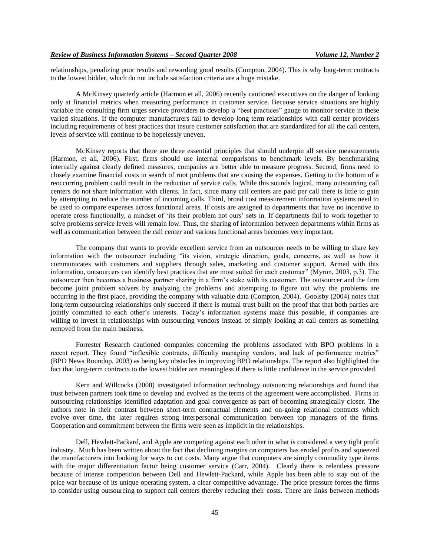relationships, penalizing poor results and rewarding good results (Compton, 2004). This is why long-term contracts to the lowest bidder, which do not include satisfaction criteria are a huge mistake.

A McKinsey quarterly article (Harmon et all, 2006) recently cautioned executives on the danger of looking only at financial metrics when measuring performance in customer service. Because service situations are highly variable the consulting firm urges service providers to develop a "best practices" gauge to monitor service in these varied situations. If the computer manufacturers fail to develop long term relationships with call center providers including requirements of best practices that insure customer satisfaction that are standardized for all the call centers, levels of service will continue to be hopelessly uneven.

McKinsey reports that there are three essential principles that should underpin all service measurements (Harmon, et all, 2006). First, firms should use internal comparisons to benchmark levels. By benchmarking internally against clearly defined measures, companies are better able to measure progress. Second, firms need to closely examine financial costs in search of root problems that are causing the expenses. Getting to the bottom of a reoccurring problem could result in the reduction of service calls. While this sounds logical, many outsourcing call centers do not share information with clients. In fact, since many call centers are paid per call there is little to gain by attempting to reduce the number of incoming calls. Third, broad cost measurement information systems need to be used to compare expenses across functional areas. If costs are assigned to departments that have no incentive to operate cross functionally, a mindset of "its their problem not ours" sets in. If departments fail to work together to solve problems service levels will remain low. Thus, the sharing of information between departments within firms as well as communication between the call center and various functional areas becomes very important.

The company that wants to provide excellent service from an outsourcer needs to be willing to share key information with the outsourcer including "its vision, strategic direction, goals, concerns, as well as how it communicates with customers and suppliers through sales, marketing and customer support. Armed with this information, outsourcers can identify best practices that are most suited for each customer" (Myron, 2003, p.3). The outsourcer then becomes a business partner sharing in a firm"s stake with its customer. The outsourcer and the firm become joint problem solvers by analyzing the problems and attempting to figure out why the problems are occurring in the first place, providing the company with valuable data (Compton, 2004). Goolsby (2004) notes that long-term outsourcing relationships only succeed if there is mutual trust built on the proof that that both parties are jointly committed to each other's interests. Today's information systems make this possible, if companies are willing to invest in relationships with outsourcing vendors instead of simply looking at call centers as something removed from the main business.

Forrester Research cautioned companies concerning the problems associated with BPO problems in a recent report. They found "inflexible contracts, difficulty managing vendors, and lack of performance metrics" (BPO News Roundup, 2003) as being key obstacles in improving BPO relationships. The report also highlighted the fact that long-term contracts to the lowest bidder are meaningless if there is little confidence in the service provided.

Kern and Willcocks (2000) investigated information technology outsourcing relationships and found that trust between partners took time to develop and evolved as the terms of the agreement were accomplished. Firms in outsourcing relationships identified adaptation and goal convergence as part of becoming strategically closer. The authors note in their contrast between short-term contractual elements and on-going relational contracts which evolve over time, the later requires strong interpersonal communication between top managers of the firms. Cooperation and commitment between the firms were seen as implicit in the relationships.

Dell, Hewlett-Packard, and Apple are competing against each other in what is considered a very tight profit industry. Much has been written about the fact that declining margins on computers has eroded profits and squeezed the manufacturers into looking for ways to cut costs. Many argue that computers are simply commodity type items with the major differentiation factor being customer service (Carr, 2004). Clearly there is relentless pressure because of intense competition between Dell and Hewlett-Packard, while Apple has been able to stay out of the price war because of its unique operating system, a clear competitive advantage. The price pressure forces the firms to consider using outsourcing to support call centers thereby reducing their costs. There are links between methods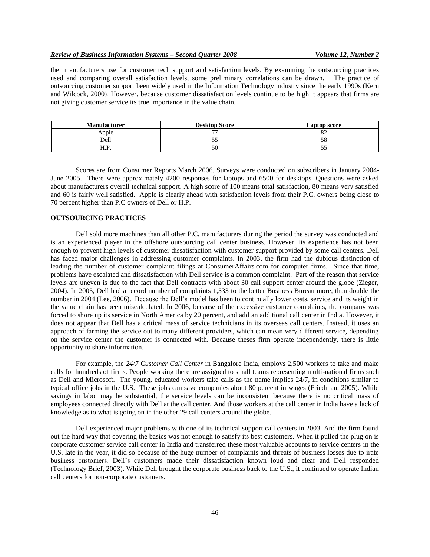the manufacturers use for customer tech support and satisfaction levels. By examining the outsourcing practices used and comparing overall satisfaction levels, some preliminary correlations can be drawn. The practice of outsourcing customer support been widely used in the Information Technology industry since the early 1990s (Kern and Wilcock, 2000). However, because customer dissatisfaction levels continue to be high it appears that firms are not giving customer service its true importance in the value chain.

| <b>Manufacturer</b> | <b>Desktop Score</b> | Laptop score  |
|---------------------|----------------------|---------------|
| \nnle               | $-1$                 | $\mathcal{Q}$ |
| Dell                | ◡                    | эσ            |
| $\mathbf{1.1.1}$    | οU                   | ◡             |

Scores are from Consumer Reports March 2006. Surveys were conducted on subscribers in January 2004- June 2005. There were approximately 4200 responses for laptops and 6500 for desktops. Questions were asked about manufacturers overall technical support. A high score of 100 means total satisfaction, 80 means very satisfied and 60 is fairly well satisfied. Apple is clearly ahead with satisfaction levels from their P.C. owners being close to 70 percent higher than P.C owners of Dell or H.P.

# **OUTSOURCING PRACTICES**

Dell sold more machines than all other P.C. manufacturers during the period the survey was conducted and is an experienced player in the offshore outsourcing call center business. However, its experience has not been enough to prevent high levels of customer dissatisfaction with customer support provided by some call centers. Dell has faced major challenges in addressing customer complaints. In 2003, the firm had the dubious distinction of leading the number of customer complaint filings at ConsumerAffairs.com for computer firms. Since that time, problems have escalated and dissatisfaction with Dell service is a common complaint. Part of the reason that service levels are uneven is due to the fact that Dell contracts with about 30 call support center around the globe (Zieger, 2004). In 2005, Dell had a record number of complaints 1,533 to the better Business Bureau more, than double the number in 2004 (Lee, 2006). Because the Dell"s model has been to continually lower costs, service and its weight in the value chain has been miscalculated. In 2006, because of the excessive customer complaints, the company was forced to shore up its service in North America by 20 percent, and add an additional call center in India. However, it does not appear that Dell has a critical mass of service technicians in its overseas call centers. Instead, it uses an approach of farming the service out to many different providers, which can mean very different service, depending on the service center the customer is connected with. Because theses firm operate independently, there is little opportunity to share information.

For example, the *24/7 Customer Call Center* in Bangalore India, employs 2,500 workers to take and make calls for hundreds of firms. People working there are assigned to small teams representing multi-national firms such as Dell and Microsoft. The young, educated workers take calls as the name implies 24/7, in conditions similar to typical office jobs in the U.S. These jobs can save companies about 80 percent in wages (Friedman, 2005). While savings in labor may be substantial, the service levels can be inconsistent because there is no critical mass of employees connected directly with Dell at the call center. And those workers at the call center in India have a lack of knowledge as to what is going on in the other 29 call centers around the globe.

Dell experienced major problems with one of its technical support call centers in 2003. And the firm found out the hard way that covering the basics was not enough to satisfy its best customers. When it pulled the plug on is corporate customer service call center in India and transferred these most valuable accounts to service centers in the U.S. late in the year, it did so because of the huge number of complaints and threats of business losses due to irate business customers. Dell"s customers made their dissatisfaction known loud and clear and Dell responded (Technology Brief, 2003). While Dell brought the corporate business back to the U.S., it continued to operate Indian call centers for non-corporate customers.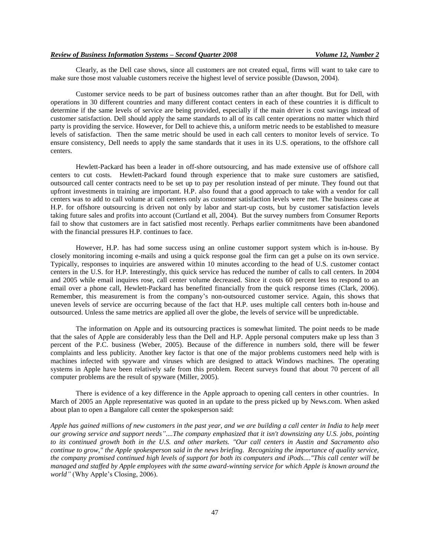Clearly, as the Dell case shows, since all customers are not created equal, firms will want to take care to make sure those most valuable customers receive the highest level of service possible (Dawson, 2004).

Customer service needs to be part of business outcomes rather than an after thought. But for Dell, with operations in 30 different countries and many different contact centers in each of these countries it is difficult to determine if the same levels of service are being provided, especially if the main driver is cost savings instead of customer satisfaction. Dell should apply the same standards to all of its call center operations no matter which third party is providing the service. However, for Dell to achieve this, a uniform metric needs to be established to measure levels of satisfaction. Then the same metric should be used in each call centers to monitor levels of service. To ensure consistency, Dell needs to apply the same standards that it uses in its U.S. operations, to the offshore call centers.

Hewlett-Packard has been a leader in off-shore outsourcing, and has made extensive use of offshore call centers to cut costs. Hewlett-Packard found through experience that to make sure customers are satisfied, outsourced call center contracts need to be set up to pay per resolution instead of per minute. They found out that upfront investments in training are important. H.P. also found that a good approach to take with a vendor for call centers was to add to call volume at call centers only as customer satisfaction levels were met. The business case at H.P. for offshore outsourcing is driven not only by labor and start-up costs, but by customer satisfaction levels taking future sales and profits into account (Curtland et all, 2004). But the survey numbers from Consumer Reports fail to show that customers are in fact satisfied most recently. Perhaps earlier commitments have been abandoned with the financial pressures H.P. continues to face.

However, H.P. has had some success using an online customer support system which is in-house. By closely monitoring incoming e-mails and using a quick response goal the firm can get a pulse on its own service. Typically, responses to inquiries are answered within 10 minutes according to the head of U.S. customer contact centers in the U.S. for H.P. Interestingly, this quick service has reduced the number of calls to call centers. In 2004 and 2005 while email inquires rose, call center volume decreased. Since it costs 60 percent less to respond to an email over a phone call, Hewlett-Packard has benefited financially from the quick response times (Clark, 2006). Remember, this measurement is from the company"s non-outsourced customer service. Again, this shows that uneven levels of service are occurring because of the fact that H.P. uses multiple call centers both in-house and outsourced. Unless the same metrics are applied all over the globe, the levels of service will be unpredictable.

The information on Apple and its outsourcing practices is somewhat limited. The point needs to be made that the sales of Apple are considerably less than the Dell and H.P. Apple personal computers make up less than 3 percent of the P.C. business (Weber, 2005). Because of the difference in numbers sold, there will be fewer complaints and less publicity. Another key factor is that one of the major problems customers need help with is machines infected with spyware and viruses which are designed to attack Windows machines. The operating systems in Apple have been relatively safe from this problem. Recent surveys found that about 70 percent of all computer problems are the result of spyware (Miller, 2005).

There is evidence of a key difference in the Apple approach to opening call centers in other countries. In March of 2005 an Apple representative was quoted in an update to the press picked up by News.com. When asked about plan to open a Bangalore call center the spokesperson said:

*Apple has gained millions of new customers in the past year, and we are building a call center in India to help meet our growing service and support needs"....The company emphasized that it isn't downsizing any U.S. jobs, pointing to its continued growth both in the U.S. and other markets. "Our call centers in Austin and Sacramento also continue to grow," the Apple spokesperson said in the news briefing. Recognizing the importance of quality service, the company promised continued high levels of support for both its computers and iPods...."This call center will be managed and staffed by Apple employees with the same award-winning service for which Apple is known around the world"* (Why Apple's Closing, 2006).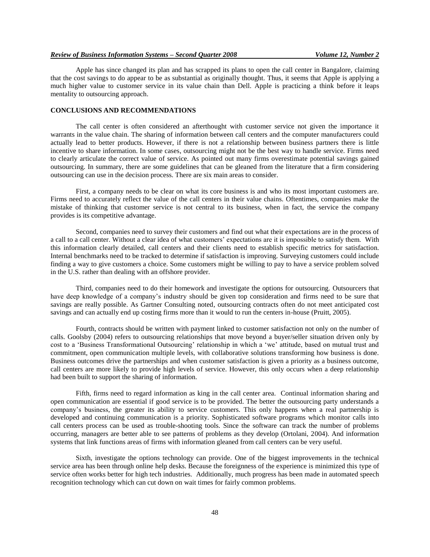#### *Review of Business Information Systems – Second Quarter 2008 Volume 12, Number 2*

Apple has since changed its plan and has scrapped its plans to open the call center in Bangalore, claiming that the cost savings to do appear to be as substantial as originally thought. Thus, it seems that Apple is applying a much higher value to customer service in its value chain than Dell. Apple is practicing a think before it leaps mentality to outsourcing approach.

### **CONCLUSIONS AND RECOMMENDATIONS**

The call center is often considered an afterthought with customer service not given the importance it warrants in the value chain. The sharing of information between call centers and the computer manufacturers could actually lead to better products. However, if there is not a relationship between business partners there is little incentive to share information. In some cases, outsourcing might not be the best way to handle service. Firms need to clearly articulate the correct value of service. As pointed out many firms overestimate potential savings gained outsourcing. In summary, there are some guidelines that can be gleaned from the literature that a firm considering outsourcing can use in the decision process. There are six main areas to consider.

First, a company needs to be clear on what its core business is and who its most important customers are. Firms need to accurately reflect the value of the call centers in their value chains. Oftentimes, companies make the mistake of thinking that customer service is not central to its business, when in fact, the service the company provides is its competitive advantage.

Second, companies need to survey their customers and find out what their expectations are in the process of a call to a call center. Without a clear idea of what customers" expectations are it is impossible to satisfy them. With this information clearly detailed, call centers and their clients need to establish specific metrics for satisfaction. Internal benchmarks need to be tracked to determine if satisfaction is improving. Surveying customers could include finding a way to give customers a choice. Some customers might be willing to pay to have a service problem solved in the U.S. rather than dealing with an offshore provider.

Third, companies need to do their homework and investigate the options for outsourcing. Outsourcers that have deep knowledge of a company"s industry should be given top consideration and firms need to be sure that savings are really possible. As Gartner Consulting noted, outsourcing contracts often do not meet anticipated cost savings and can actually end up costing firms more than it would to run the centers in-house (Pruitt, 2005).

Fourth, contracts should be written with payment linked to customer satisfaction not only on the number of calls. Goolsby (2004) refers to outsourcing relationships that move beyond a buyer/seller situation driven only by cost to a "Business Transformational Outsourcing" relationship in which a "we" attitude, based on mutual trust and commitment, open communication multiple levels, with collaborative solutions transforming how business is done. Business outcomes drive the partnerships and when customer satisfaction is given a priority as a business outcome, call centers are more likely to provide high levels of service. However, this only occurs when a deep relationship had been built to support the sharing of information.

Fifth, firms need to regard information as king in the call center area. Continual information sharing and open communication are essential if good service is to be provided. The better the outsourcing party understands a company"s business, the greater its ability to service customers. This only happens when a real partnership is developed and continuing communication is a priority. Sophisticated software programs which monitor calls into call centers process can be used as trouble-shooting tools. Since the software can track the number of problems occurring, managers are better able to see patterns of problems as they develop (Ortolani, 2004). And information systems that link functions areas of firms with information gleaned from call centers can be very useful.

Sixth, investigate the options technology can provide. One of the biggest improvements in the technical service area has been through online help desks. Because the foreignness of the experience is minimized this type of service often works better for high tech industries. Additionally, much progress has been made in automated speech recognition technology which can cut down on wait times for fairly common problems.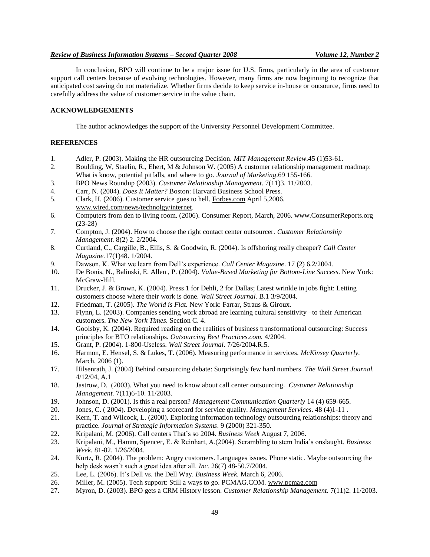### *Review of Business Information Systems – Second Quarter 2008 Volume 12, Number 2*

In conclusion, BPO will continue to be a major issue for U.S. firms, particularly in the area of customer support call centers because of evolving technologies. However, many firms are now beginning to recognize that anticipated cost saving do not materialize. Whether firms decide to keep service in-house or outsource, firms need to carefully address the value of customer service in the value chain.

# **ACKNOWLEDGEMENTS**

The author acknowledges the support of the University Personnel Development Committee.

#### **REFERENCES**

- 1. Adler, P. (2003). Making the HR outsourcing Decision. *MIT Management Review*.45 (1)53-61.
- 2. Boulding, W, Staelin, R., Ehert, M & Johnson W. (2005) A customer relationship management roadmap: What is know, potential pitfalls, and where to go. *Journal of Marketing*.69 155-166.
- 3. BPO News Roundup (2003). *Customer Relationship Management*. 7(11)3. 11/2003.
- 4. Carr, N. (2004). *Does It Matter?* Boston: Harvard Business School Press.
- 5. Clark, H. (2006). Customer service goes to hell. Forbes.com April 5,2006. www.wired.com/news/technolgy/internet.
- 6. Computers from den to living room. (2006). Consumer Report, March, 2006. www.ConsumerReports.org (23-28)
- 7. Compton, J. (2004). How to choose the right contact center outsourcer. *Customer Relationship Management.* 8(2) 2. 2/2004.
- 8. Curtland, C., Cargille, B., Ellis, S. & Goodwin, R. (2004). Is offshoring really cheaper? *Call Center Magazine.*17(1)48. 1/2004.
- 9. Dawson, K. What we learn from Dell"s experience. *Call Center Magazine*. 17 (2) 6.2/2004.
- 10. De Bonis, N., Balinski, E. Allen , P. (2004). *Value-Based Marketing for Bottom-Line Success*. New York: McGraw-Hill.
- 11. Drucker, J. & Brown, K. (2004). Press 1 for Dehli, 2 for Dallas; Latest wrinkle in jobs fight: Letting customers choose where their work is done. *Wall Street Journal.* B.1 3/9/2004.
- 12. Friedman, T. (2005). *The World is Flat.* New York: Farrar, Straus & Giroux.
- 13. Flynn, L. (2003). Companies sending work abroad are learning cultural sensitivity –to their American customers. *The New York Times.* Section C. 4.
- 14. Goolsby, K. (2004). Required reading on the realities of business transformational outsourcing: Success principles for BTO relationships. *Outsourcing Best Practices.com.* 4/2004.
- 15. Grant, P. (2004). 1-800-Useless. *Wall Street Journal*. 7/26/2004.R.5.
- 16. Harmon, E. Hensel, S. & Lukes, T. (2006). Measuring performance in services. *McKinsey Quarterly.* March, 2006 (1).
- 17. Hilsenrath, J. (2004) Behind outsourcing debate: Surprisingly few hard numbers. *The Wall Street Journal.* 4/12/04, A.1
- 18. Jastrow, D. (2003). What you need to know about call center outsourcing. *Customer Relationship Management.* 7(11)6-10. 11/2003.
- 19. Johnson, D. (2001). Is this a real person? *Management Communication Quarterly* 14 (4) 659-665.
- 20. Jones, C. ( 2004). Developing a scorecard for service quality. *Management Services*. 48 (4)1-11 .
- 21. Kern, T. and Wilcock, L. (2000). Exploring information technology outsourcing relationships: theory and practice. *Journal of Strategic Information Systems*. 9 (2000) 321-350.
- 22. Kripalani, M. (2006). Call centers That"s so 2004. *Business Week* August 7, 2006.
- 23. Kripalani, M., Hamm, Spencer, E. & Reinhart, A.(2004). Scrambling to stem India"s onslaught. *Business Week.* 81-82. 1/26/2004.
- 24. Kurtz, R. (2004). The problem: Angry customers. Languages issues. Phone static. Maybe outsourcing the help desk wasn"t such a great idea after all. *Inc.* 26(7) 48-50.7/2004.
- 25. Lee, L. (2006). It"s Dell vs. the Dell Way. *Business Week.* March 6, 2006.
- 26. Miller, M. (2005). Tech support: Still a ways to go. PCMAG.COM. www.pcmag.com
- 27. Myron, D. (2003). BPO gets a CRM History lesson. *Customer Relationship Management.* 7(11)2. 11/2003.